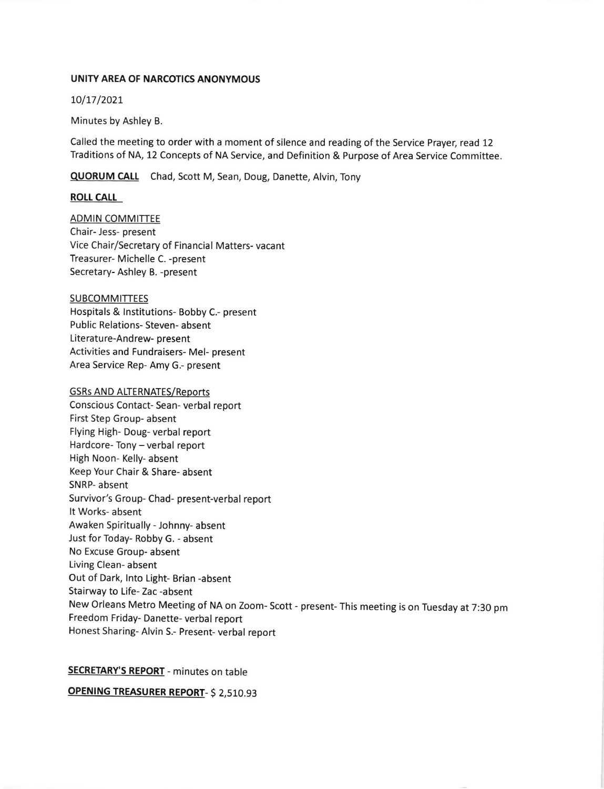#### UNITY AREA OF NARCOTICS ANONYMOUS

10/17/2021

Minutes by Ashley B.

Called the meeting to order with a moment of silence and reading of the Service Prayer, read 12 Traditions of NA, 12 Concepts of NA Service, and Definition & Purpose of Area Service Committee.

QUORUM CALL Chad, Scott M, Sean, Doug, Danette, Alvin, Tony

#### **ROLL CALL**

**ADMIN COMMITTEE** Chair- less- present Vice Chair/Secretary of Financial Matters- vacant Treasurer- Michelle C. -present Secretary- Ashley B. -present

#### SUBCOMMITTEES

Hospitals & lnstitutions- Bobby C.- present Public Relations- Steven- absent Literature-Andrew- present Activities and Fundraisers- Mel- present Area Service Rep- Amy G.- present

#### **GSRs AND ALTERNATES/Reports**

Conscious Contact- Sean- verbal report First Step Group- absent Flying High- Doug- verbal report Hardcore- Tony - verbal report High Noon- Kelly- absent Keep Your Chair & Share- absent SNRP- absent Survivor's Group- Chad- present-verbal report It Works- absent Awaken Spiritually - Johnny- absent Just for Today- Robby G. - absent No Excuse Group- absent Living Clean- absent Out of Dark, lnto Light- Brian -absent Stairway to Life- Zac -absent New orleans Metro Meeting of NA on zoom- scott - present- This meeting is on Tuesday at 7:30 pm Freedom Friday- Danette- verbal report Honest Sharing- Alvin S.- Present- verbal report

#### SECRETARY'S REPORT - minutes on table

OPENING TREASURER REPORT- \$2,510.93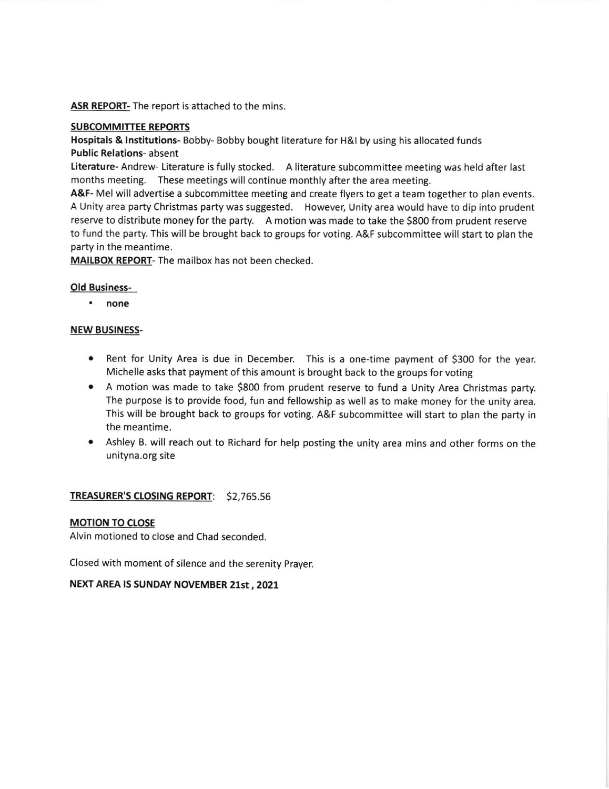ASR REPORT- The report is attached to the mins.

### SUBCOMMITTEE REPORTS

Hospitals & Institutions- Bobby- Bobby bought literature for H&I by using his allocated funds Public Relations- absent

Literature- Andrew- Literature is fully stocked. A literature subcommittee meeting was held after last months meeting. These meetings will continue monthly after the area meeting.

A&F- Mel will advertise a subcommittee meeting and create flyers to get a team together to plan events. A Unity area party Christmas party was suggested. However, Unity area would have to dip into prudent reserve to distribute money for the party. A motion was made to take the 5800 from prudent reserve to fund the party. This will be brought back to groups for voting. A&F subcommittee will start to plan the party in the meantime.

MAILBOX REPORT- The mailbox has not been checked.

### Old Business-

none

### NEW BUSINESS.

- Rent for Unity Area is due in December. This is a one-time payment of \$300 for the year. Michelle asks that payment of this amount is brought back to the groups for voting
- A motion was made to take 5800 from prudent reserve to fund a Unity Area Christmas party. The purpose is to provide food, fun and fellowship as well as to make money for the unity area. This will be brought back to groups for voting. A&F subcommittee will start to plan the party in the meantime.
- Ashley B. will reach out to Richard for help posting the unity area mins and other forms on the a unityna.org site

## TREASURER's CIOSING REPORT: \$2,765.55

#### MOTION TO CLOSE

Alvin motioned to close and Chad seconded.

Closed with moment of silence and the serenity prayer.

## NEXT AREA IS SUNDAY NOVEMBER 21st , 2021